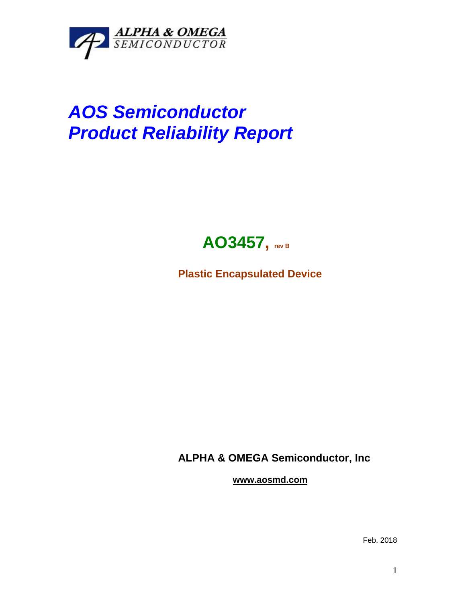

## *AOS Semiconductor Product Reliability Report*



**Plastic Encapsulated Device**

**ALPHA & OMEGA Semiconductor, Inc**

**www.aosmd.com**

Feb. 2018